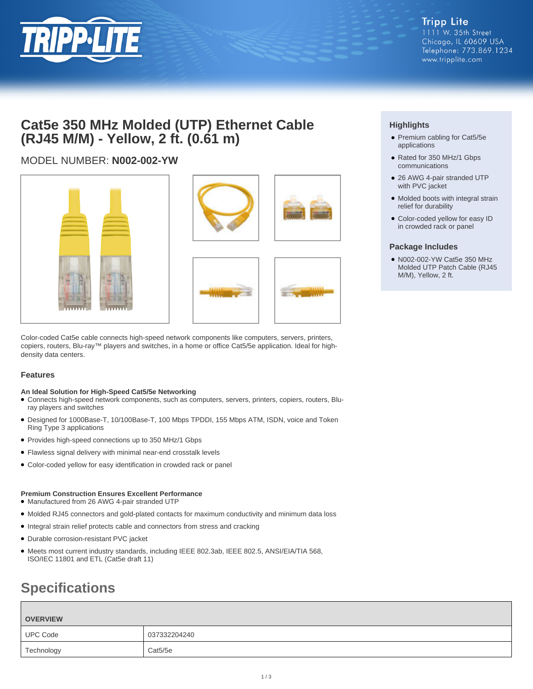

## **Cat5e 350 MHz Molded (UTP) Ethernet Cable (RJ45 M/M) - Yellow, 2 ft. (0.61 m)**

### MODEL NUMBER: **N002-002-YW**



Color-coded Cat5e cable connects high-speed network components like computers, servers, printers, copiers, routers, Blu-ray™ players and switches, in a home or office Cat5/5e application. Ideal for highdensity data centers.

#### **Features**

#### **An Ideal Solution for High-Speed Cat5/5e Networking**

- Connects high-speed network components, such as computers, servers, printers, copiers, routers, Bluray players and switches
- Designed for 1000Base-T, 10/100Base-T, 100 Mbps TPDDI, 155 Mbps ATM, ISDN, voice and Token Ring Type 3 applications
- Provides high-speed connections up to 350 MHz/1 Gbps
- Flawless signal delivery with minimal near-end crosstalk levels
- Color-coded yellow for easy identification in crowded rack or panel

#### **Premium Construction Ensures Excellent Performance**

- Manufactured from 26 AWG 4-pair stranded UTP
- Molded RJ45 connectors and gold-plated contacts for maximum conductivity and minimum data loss
- Integral strain relief protects cable and connectors from stress and cracking
- Durable corrosion-resistant PVC jacket
- Meets most current industry standards, including IEEE 802.3ab, IEEE 802.5, ANSI/EIA/TIA 568, ISO/IEC 11801 and ETL (Cat5e draft 11)

# **Specifications**

| <b>OVERVIEW</b> |              |  |
|-----------------|--------------|--|
| UPC Code        | 037332204240 |  |
| Technology      | Cat5/5e      |  |

#### **Highlights**

- Premium cabling for Cat5/5e applications
- Rated for 350 MHz/1 Gbps communications
- 26 AWG 4-pair stranded UTP with PVC jacket
- Molded boots with integral strain relief for durability
- Color-coded yellow for easy ID in crowded rack or panel

#### **Package Includes**

N002-002-YW Cat5e 350 MHz ● Molded UTP Patch Cable (RJ45 M/M), Yellow, 2 ft.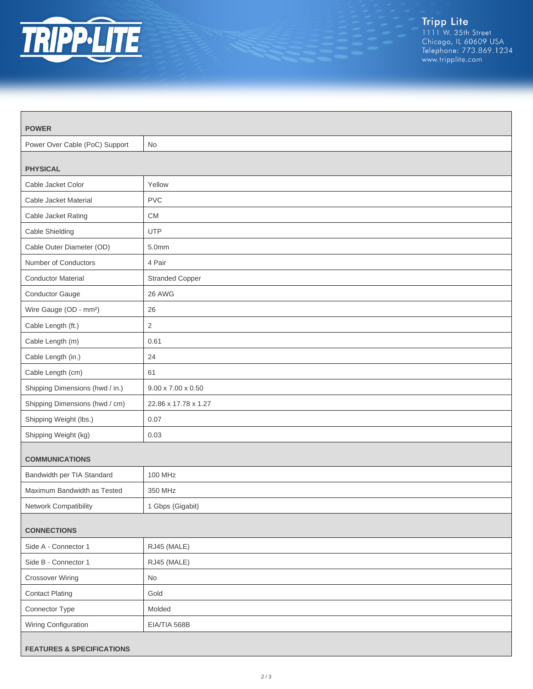

| <b>POWER</b>                         |                                |  |
|--------------------------------------|--------------------------------|--|
| Power Over Cable (PoC) Support       | No                             |  |
| <b>PHYSICAL</b>                      |                                |  |
| Cable Jacket Color                   | Yellow                         |  |
| Cable Jacket Material                | <b>PVC</b>                     |  |
| Cable Jacket Rating                  | <b>CM</b>                      |  |
| Cable Shielding                      | <b>UTP</b>                     |  |
| Cable Outer Diameter (OD)            | 5.0mm                          |  |
| Number of Conductors                 | 4 Pair                         |  |
| <b>Conductor Material</b>            | <b>Stranded Copper</b>         |  |
| Conductor Gauge                      | 26 AWG                         |  |
| Wire Gauge (OD - mm <sup>2</sup> )   | 26                             |  |
| Cable Length (ft.)                   | 2                              |  |
| Cable Length (m)                     | 0.61                           |  |
| Cable Length (in.)                   | 24                             |  |
| Cable Length (cm)                    | 61                             |  |
| Shipping Dimensions (hwd / in.)      | $9.00 \times 7.00 \times 0.50$ |  |
| Shipping Dimensions (hwd / cm)       | 22.86 x 17.78 x 1.27           |  |
| Shipping Weight (lbs.)               | 0.07                           |  |
| Shipping Weight (kg)                 | 0.03                           |  |
| <b>COMMUNICATIONS</b>                |                                |  |
| Bandwidth per TIA Standard           | 100 MHz                        |  |
| Maximum Bandwidth as Tested          | 350 MHz                        |  |
| Network Compatibility                | 1 Gbps (Gigabit)               |  |
| <b>CONNECTIONS</b>                   |                                |  |
| Side A - Connector 1                 | RJ45 (MALE)                    |  |
| Side B - Connector 1                 | RJ45 (MALE)                    |  |
| Crossover Wiring                     | No                             |  |
| <b>Contact Plating</b>               | Gold                           |  |
| Connector Type                       | Molded                         |  |
| Wiring Configuration                 | EIA/TIA 568B                   |  |
| <b>FEATURES &amp; SPECIFICATIONS</b> |                                |  |